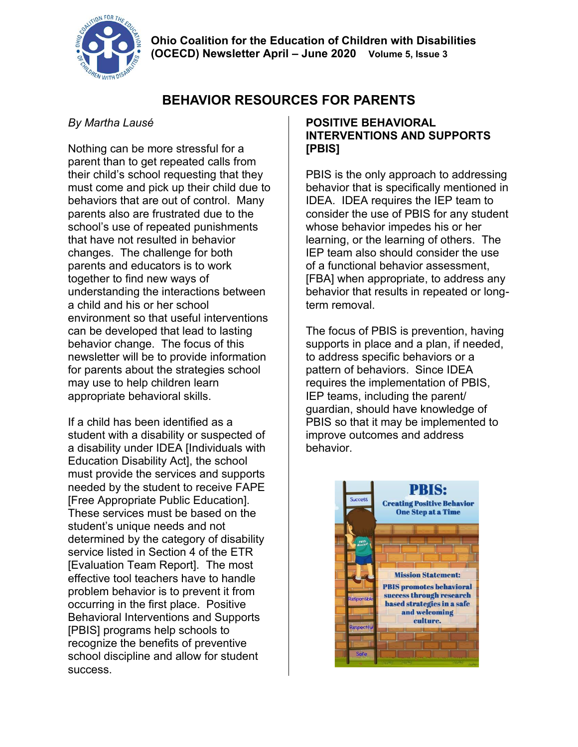

# **BEHAVIOR RESOURCES FOR PARENTS**

### *By Martha Lausé*

Nothing can be more stressful for a parent than to get repeated calls from their child's school requesting that they must come and pick up their child due to behaviors that are out of control. Many parents also are frustrated due to the school's use of repeated punishments that have not resulted in behavior changes. The challenge for both parents and educators is to work together to find new ways of understanding the interactions between a child and his or her school environment so that useful interventions can be developed that lead to lasting behavior change. The focus of this newsletter will be to provide information for parents about the strategies school may use to help children learn appropriate behavioral skills.

If a child has been identified as a student with a disability or suspected of a disability under IDEA [Individuals with Education Disability Act], the school must provide the services and supports needed by the student to receive FAPE [Free Appropriate Public Education]. These services must be based on the student's unique needs and not determined by the category of disability service listed in Section 4 of the ETR [Evaluation Team Report]. The most effective tool teachers have to handle problem behavior is to prevent it from occurring in the first place. Positive Behavioral Interventions and Supports [PBIS] programs help schools to recognize the benefits of preventive school discipline and allow for student success.

### **POSITIVE BEHAVIORAL INTERVENTIONS AND SUPPORTS [PBIS]**

PBIS is the only approach to addressing behavior that is specifically mentioned in IDEA. IDEA requires the IEP team to consider the use of PBIS for any student whose behavior impedes his or her learning, or the learning of others. The IEP team also should consider the use of a functional behavior assessment, [FBA] when appropriate, to address any behavior that results in repeated or longterm removal.

The focus of PBIS is prevention, having supports in place and a plan, if needed, to address specific behaviors or a pattern of behaviors. Since IDEA requires the implementation of PBIS, IEP teams, including the parent/ guardian, should have knowledge of PBIS so that it may be implemented to improve outcomes and address behavior.

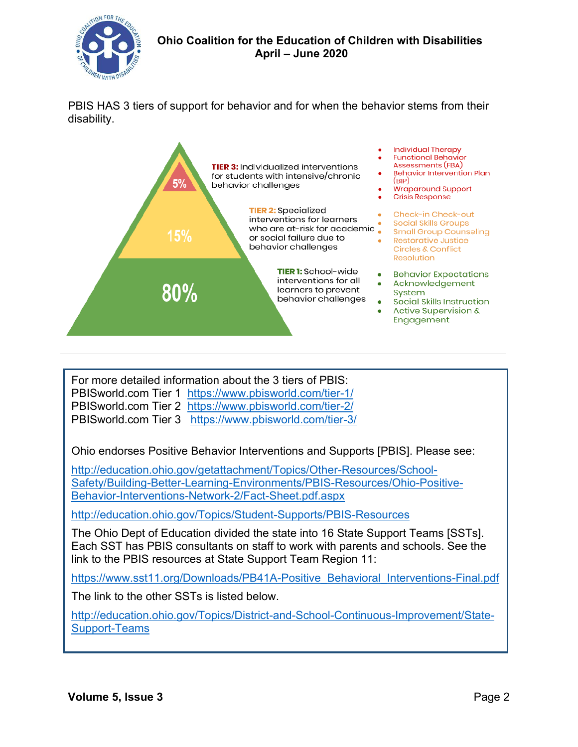

PBIS HAS 3 tiers of support for behavior and for when the behavior stems from their disability.



For more detailed information about the 3 tiers of PBIS: PBISworld.com Tier 1 [https://www.pbisworld.com/tier-1/](about:blank) PBISworld.com Tier 2 [https://www.pbisworld.com/tier-2/](about:blank) PBISworld.com Tier 3 [https://www.pbisworld.com/tier-3/](about:blank)

Ohio endorses Positive Behavior Interventions and Supports [PBIS]. Please see:

[http://education.ohio.gov/getattachment/Topics/Other-Resources/School-](about:blank)[Safety/Building-Better-Learning-Environments/PBIS-Resources/Ohio-Positive-](about:blank)[Behavior-Interventions-Network-2/Fact-Sheet.pdf.aspx](about:blank)

[http://education.ohio.gov/Topics/Student-Supports/PBIS-Resources](about:blank)

The Ohio Dept of Education divided the state into 16 State Support Teams [SSTs]. Each SST has PBIS consultants on staff to work with parents and schools. See the link to the PBIS resources at State Support Team Region 11:

[https://www.sst11.org/Downloads/PB41A-Positive\\_Behavioral\\_Interventions-Final.pdf](about:blank)

The link to the other SSTs is listed below.

[http://education.ohio.gov/Topics/District-and-School-Continuous-Improvement/State-](about:blank)[Support-Teams](about:blank)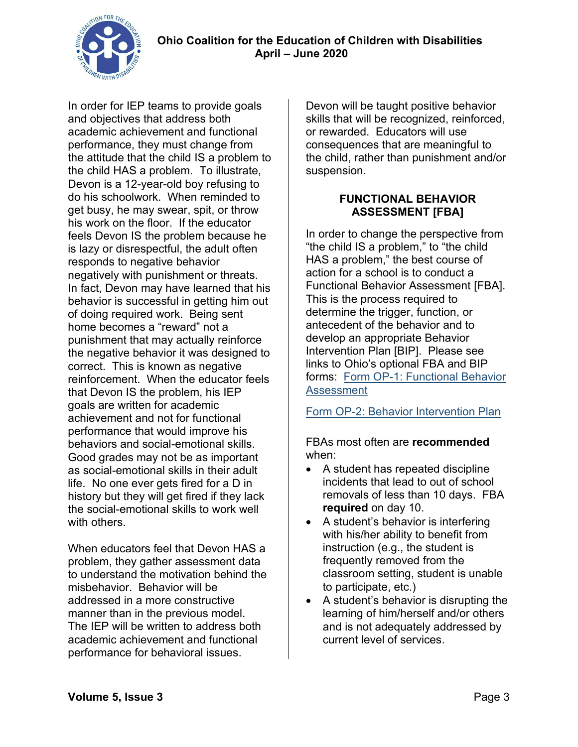

In order for IEP teams to provide goals and objectives that address both academic achievement and functional performance, they must change from the attitude that the child IS a problem to the child HAS a problem. To illustrate, Devon is a 12-year-old boy refusing to do his schoolwork. When reminded to get busy, he may swear, spit, or throw his work on the floor. If the educator feels Devon IS the problem because he is lazy or disrespectful, the adult often responds to negative behavior negatively with punishment or threats. In fact, Devon may have learned that his behavior is successful in getting him out of doing required work. Being sent home becomes a "reward" not a punishment that may actually reinforce the negative behavior it was designed to correct. This is known as negative reinforcement. When the educator feels that Devon IS the problem, his IEP goals are written for academic achievement and not for functional performance that would improve his behaviors and social-emotional skills. Good grades may not be as important as social-emotional skills in their adult life. No one ever gets fired for a D in history but they will get fired if they lack the social-emotional skills to work well with others.

When educators feel that Devon HAS a problem, they gather assessment data to understand the motivation behind the misbehavior. Behavior will be addressed in a more constructive manner than in the previous model. The IEP will be written to address both academic achievement and functional performance for behavioral issues.

Devon will be taught positive behavior skills that will be recognized, reinforced, or rewarded. Educators will use consequences that are meaningful to the child, rather than punishment and/or suspension.

#### **FUNCTIONAL BEHAVIOR ASSESSMENT [FBA]**

In order to change the perspective from "the child IS a problem," to "the child HAS a problem," the best course of action for a school is to conduct a Functional Behavior Assessment [FBA]. This is the process required to determine the trigger, function, or antecedent of the behavior and to develop an appropriate Behavior Intervention Plan [BIP]. Please see links to Ohio's optional FBA and BIP forms: [Form OP-1: Functional Behavior](about:blank)  **[Assessment](about:blank)** 

[Form OP-2: Behavior Intervention Plan](about:blank)

FBAs most often are **recommended** when:

- A student has repeated discipline incidents that lead to out of school removals of less than 10 days. FBA **required** on day 10.
- A student's behavior is interfering with his/her ability to benefit from instruction (e.g., the student is frequently removed from the classroom setting, student is unable to participate, etc.)
- A student's behavior is disrupting the learning of him/herself and/or others and is not adequately addressed by current level of services.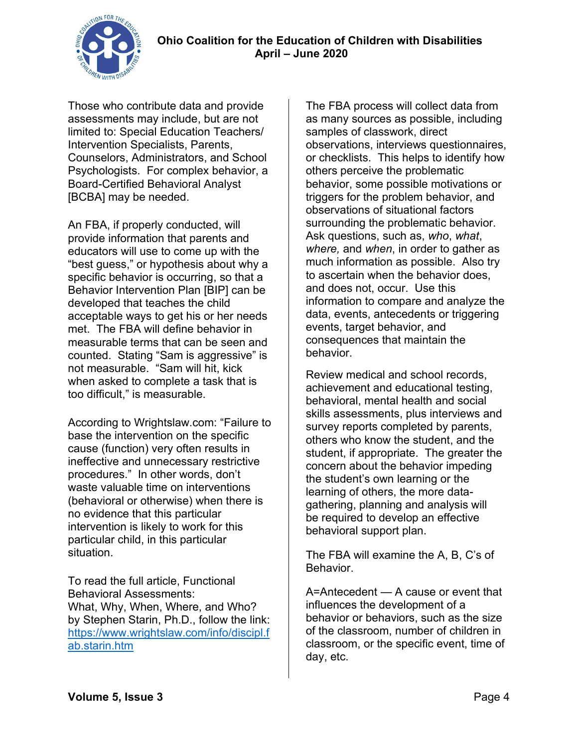

Those who contribute data and provide assessments may include, but are not limited to: Special Education Teachers/ Intervention Specialists, Parents, Counselors, Administrators, and School Psychologists. For complex behavior, a Board-Certified Behavioral Analyst [BCBA] may be needed.

An FBA, if properly conducted, will provide information that parents and educators will use to come up with the "best guess," or hypothesis about why a specific behavior is occurring, so that a Behavior Intervention Plan [BIP] can be developed that teaches the child acceptable ways to get his or her needs met. The FBA will define behavior in measurable terms that can be seen and counted. Stating "Sam is aggressive" is not measurable. "Sam will hit, kick when asked to complete a task that is too difficult," is measurable.

According to Wrightslaw.com: "Failure to base the intervention on the specific cause (function) very often results in ineffective and unnecessary restrictive procedures." In other words, don't waste valuable time on interventions (behavioral or otherwise) when there is no evidence that this particular intervention is likely to work for this particular child, in this particular situation.

To read the full article, Functional Behavioral Assessments: What, Why, When, Where, and Who? by Stephen Starin, Ph.D., follow the link: [https://www.wrightslaw.com/info/discipl.f](https://www.wrightslaw.com/info/discipl.fab.starin.htm) [ab.starin.htm](https://www.wrightslaw.com/info/discipl.fab.starin.htm)

The FBA process will collect data from as many sources as possible, including samples of classwork, direct observations, interviews questionnaires, or checklists. This helps to identify how others perceive the problematic behavior, some possible motivations or triggers for the problem behavior, and observations of situational factors surrounding the problematic behavior. Ask questions, such as, *who*, *what*, *where,* and *when*, in order to gather as much information as possible. Also try to ascertain when the behavior does, and does not, occur. Use this information to compare and analyze the data, events, antecedents or triggering events, target behavior, and consequences that maintain the behavior.

Review medical and school records, achievement and educational testing, behavioral, mental health and social skills assessments, plus interviews and survey reports completed by parents, others who know the student, and the student, if appropriate. The greater the concern about the behavior impeding the student's own learning or the learning of others, the more datagathering, planning and analysis will be required to develop an effective behavioral support plan.

The FBA will examine the A, B, C's of Behavior.

A=Antecedent — A cause or event that influences the development of a behavior or behaviors, such as the size of the classroom, number of children in classroom, or the specific event, time of day, etc.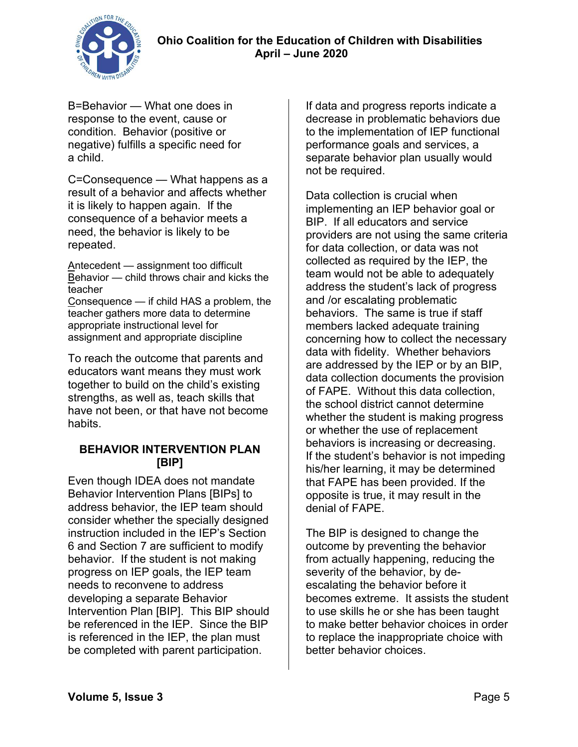

B=Behavior — What one does in response to the event, cause or condition. Behavior (positive or negative) fulfills a specific need for a child.

C=Consequence — What happens as a result of a behavior and affects whether it is likely to happen again. If the consequence of a behavior meets a need, the behavior is likely to be repeated.

Antecedent — assignment too difficult Behavior — child throws chair and kicks the teacher Consequence — if child HAS a problem, the teacher gathers more data to determine

appropriate instructional level for assignment and appropriate discipline

To reach the outcome that parents and educators want means they must work together to build on the child's existing strengths, as well as, teach skills that have not been, or that have not become habits.

### **BEHAVIOR INTERVENTION PLAN [BIP]**

Even though IDEA does not mandate Behavior Intervention Plans [BIPs] to address behavior, the IEP team should consider whether the specially designed instruction included in the IEP's Section 6 and Section 7 are sufficient to modify behavior. If the student is not making progress on IEP goals, the IEP team needs to reconvene to address developing a separate Behavior Intervention Plan [BIP]. This BIP should be referenced in the IEP. Since the BIP is referenced in the IEP, the plan must be completed with parent participation.

If data and progress reports indicate a decrease in problematic behaviors due to the implementation of IEP functional performance goals and services, a separate behavior plan usually would not be required.

Data collection is crucial when implementing an IEP behavior goal or BIP. If all educators and service providers are not using the same criteria for data collection, or data was not collected as required by the IEP, the team would not be able to adequately address the student's lack of progress and /or escalating problematic behaviors. The same is true if staff members lacked adequate training concerning how to collect the necessary data with fidelity. Whether behaviors are addressed by the IEP or by an BIP, data collection documents the provision of FAPE. Without this data collection, the school district cannot determine whether the student is making progress or whether the use of replacement behaviors is increasing or decreasing. If the student's behavior is not impeding his/her learning, it may be determined that FAPE has been provided. If the opposite is true, it may result in the denial of FAPE.

The BIP is designed to change the outcome by preventing the behavior from actually happening, reducing the severity of the behavior, by deescalating the behavior before it becomes extreme. It assists the student to use skills he or she has been taught to make better behavior choices in order to replace the inappropriate choice with better behavior choices.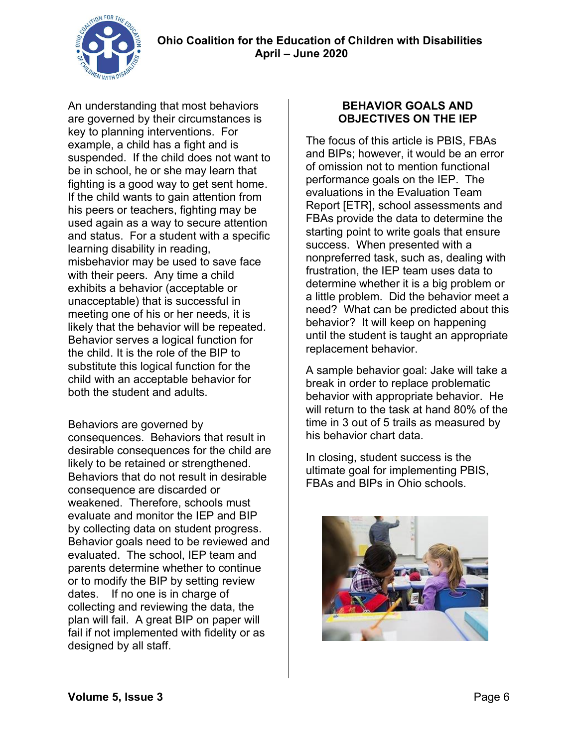

An understanding that most behaviors are governed by their circumstances is key to planning interventions. For example, a child has a fight and is suspended. If the child does not want to be in school, he or she may learn that fighting is a good way to get sent home. If the child wants to gain attention from his peers or teachers, fighting may be used again as a way to secure attention and status. For a student with a specific learning disability in reading, misbehavior may be used to save face with their peers. Any time a child exhibits a behavior (acceptable or unacceptable) that is successful in meeting one of his or her needs, it is likely that the behavior will be repeated. Behavior serves a logical function for the child. It is the role of the BIP to substitute this logical function for the child with an acceptable behavior for both the student and adults.

Behaviors are governed by consequences. Behaviors that result in desirable consequences for the child are likely to be retained or strengthened. Behaviors that do not result in desirable consequence are discarded or weakened. Therefore, schools must evaluate and monitor the IEP and BIP by collecting data on student progress. Behavior goals need to be reviewed and evaluated. The school, IEP team and parents determine whether to continue or to modify the BIP by setting review dates. If no one is in charge of collecting and reviewing the data, the plan will fail. A great BIP on paper will fail if not implemented with fidelity or as designed by all staff.

### **BEHAVIOR GOALS AND OBJECTIVES ON THE IEP**

The focus of this article is PBIS, FBAs and BIPs; however, it would be an error of omission not to mention functional performance goals on the IEP. The evaluations in the Evaluation Team Report [ETR], school assessments and FBAs provide the data to determine the starting point to write goals that ensure success. When presented with a nonpreferred task, such as, dealing with frustration, the IEP team uses data to determine whether it is a big problem or a little problem. Did the behavior meet a need? What can be predicted about this behavior? It will keep on happening until the student is taught an appropriate replacement behavior.

A sample behavior goal: Jake will take a break in order to replace problematic behavior with appropriate behavior. He will return to the task at hand 80% of the time in 3 out of 5 trails as measured by his behavior chart data.

In closing, student success is the ultimate goal for implementing PBIS, FBAs and BIPs in Ohio schools.

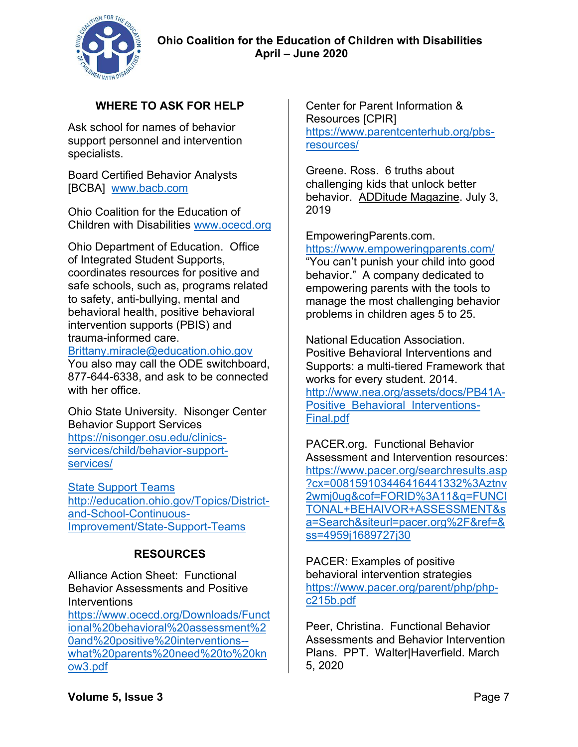

# **WHERE TO ASK FOR HELP**

Ask school for names of behavior support personnel and intervention specialists.

Board Certified Behavior Analysts [BCBA] [www.bacb.com](about:blank) 

Ohio Coalition for the Education of Children with Disabilities [www.ocecd.org](about:blank)

Ohio Department of Education. Office of Integrated Student Supports, coordinates resources for positive and safe schools, such as, programs related to safety, anti-bullying, mental and behavioral health, positive behavioral intervention supports (PBIS) and trauma-informed care.

[Brittany.miracle@education.ohio.gov](about:blank)

You also may call the ODE switchboard, 877-644-6338, and ask to be connected with her office.

Ohio State University. Nisonger Center Behavior Support Services [https://nisonger.osu.edu/clinics](https://nisonger.osu.edu/clinics-services/child/behavior-support-services/)[services/child/behavior-support](https://nisonger.osu.edu/clinics-services/child/behavior-support-services/)[services/](https://nisonger.osu.edu/clinics-services/child/behavior-support-services/)

[State Support Teams](State%20Support%20Teams%20http:/education.ohio.gov/Topics/District-and-School-Continuous-Improvement/State-Support-Teams)  [http://education.ohio.gov/Topics/District](State%20Support%20Teams%20http:/education.ohio.gov/Topics/District-and-School-Continuous-Improvement/State-Support-Teams)[and-School-Continuous-](State%20Support%20Teams%20http:/education.ohio.gov/Topics/District-and-School-Continuous-Improvement/State-Support-Teams)[Improvement/State-Support-Teams](State%20Support%20Teams%20http:/education.ohio.gov/Topics/District-and-School-Continuous-Improvement/State-Support-Teams)

### **RESOURCES**

Alliance Action Sheet: Functional Behavior Assessments and Positive **Interventions** [https://www.ocecd.org/Downloads/Funct](about:blank) [ional%20behavioral%20assessment%2](about:blank) [0and%20positive%20interventions-](about:blank) [what%20parents%20need%20to%20kn](about:blank) [ow3.pdf](about:blank)

Center for Parent Information & Resources [CPIR] [https://www.parentcenterhub.org/pbs](about:blank)[resources/](about:blank)

Greene. Ross. 6 truths about challenging kids that unlock better behavior. ADDitude Magazine. July 3, 2019

EmpoweringParents.com. [https://www.empoweringparents.com/](about:blank)  "You can't punish your child into good behavior." A company dedicated to empowering parents with the tools to manage the most challenging behavior problems in children ages 5 to 25.

National Education Association. Positive Behavioral Interventions and Supports: a multi-tiered Framework that works for every student. 2014. [http://www.nea.org/assets/docs/PB41A-](about:blank)Positive Behavioral Interventions-[Final.pdf](about:blank)

PACER.org. Functional Behavior Assessment and Intervention resources: [https://www.pacer.org/searchresults.asp](https://www.pacer.org/searchresults.asp?cx=008159103446416441332%3Aztnv2wmj0ug&cof=FORID%3A11&q=FUNCITONAL+BEHAIVOR+ASSESSMENT&sa=Search&siteurl=pacer.org%2F&ref=&ss=4959j1689727j30) [?cx=008159103446416441332%3Aztnv](https://www.pacer.org/searchresults.asp?cx=008159103446416441332%3Aztnv2wmj0ug&cof=FORID%3A11&q=FUNCITONAL+BEHAIVOR+ASSESSMENT&sa=Search&siteurl=pacer.org%2F&ref=&ss=4959j1689727j30) [2wmj0ug&cof=FORID%3A11&q=FUNCI](https://www.pacer.org/searchresults.asp?cx=008159103446416441332%3Aztnv2wmj0ug&cof=FORID%3A11&q=FUNCITONAL+BEHAIVOR+ASSESSMENT&sa=Search&siteurl=pacer.org%2F&ref=&ss=4959j1689727j30) [TONAL+BEHAIVOR+ASSESSMENT&s](https://www.pacer.org/searchresults.asp?cx=008159103446416441332%3Aztnv2wmj0ug&cof=FORID%3A11&q=FUNCITONAL+BEHAIVOR+ASSESSMENT&sa=Search&siteurl=pacer.org%2F&ref=&ss=4959j1689727j30) [a=Search&siteurl=pacer.org%2F&ref=&](https://www.pacer.org/searchresults.asp?cx=008159103446416441332%3Aztnv2wmj0ug&cof=FORID%3A11&q=FUNCITONAL+BEHAIVOR+ASSESSMENT&sa=Search&siteurl=pacer.org%2F&ref=&ss=4959j1689727j30) [ss=4959j1689727j30](https://www.pacer.org/searchresults.asp?cx=008159103446416441332%3Aztnv2wmj0ug&cof=FORID%3A11&q=FUNCITONAL+BEHAIVOR+ASSESSMENT&sa=Search&siteurl=pacer.org%2F&ref=&ss=4959j1689727j30)

PACER: Examples of positive behavioral intervention strategies [https://www.pacer.org/parent/php/php](about:blank)[c215b.pdf](about:blank)

Peer, Christina. Functional Behavior Assessments and Behavior Intervention Plans. PPT. Walter|Haverfield. March 5, 2020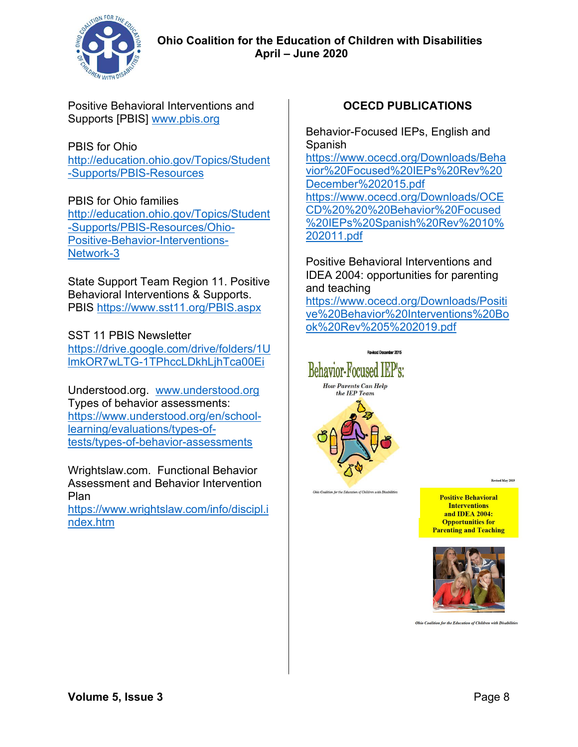

Positive Behavioral Interventions and Supports [PBIS] [www.pbis.org](about:blank)

#### PBIS for Ohio

[http://education.ohio.gov/Topics/Student](about:blank) [-Supports/PBIS-Resources](about:blank)

### PBIS for Ohio families

[http://education.ohio.gov/Topics/Student](http://education.ohio.gov/Topics/Student-Supports/PBIS-Resources/Ohio-Positive-Behavior-Interventions-Network-3) [-Supports/PBIS-Resources/Ohio-](http://education.ohio.gov/Topics/Student-Supports/PBIS-Resources/Ohio-Positive-Behavior-Interventions-Network-3)[Positive-Behavior-Interventions-](http://education.ohio.gov/Topics/Student-Supports/PBIS-Resources/Ohio-Positive-Behavior-Interventions-Network-3)[Network-3](http://education.ohio.gov/Topics/Student-Supports/PBIS-Resources/Ohio-Positive-Behavior-Interventions-Network-3)

State Support Team Region 11. Positive Behavioral Interventions & Supports. PBIS [https://www.sst11.org/PBIS.aspx](about:blank) 

SST 11 PBIS Newsletter https://drive.google.com/drive/folders/1U lmkOR7wLTG-1TPhccLDkhLjhTca00Ei

Understood.org. [www.understood.org](about:blank)  Types of behavior assessments: [https://www.understood.org/en/school](about:blank)[learning/evaluations/types-of](about:blank)[tests/types-of-behavior-assessments](about:blank)

Wrightslaw.com. Functional Behavior Assessment and Behavior Intervention Plan

[https://www.wrightslaw.com/info/discipl.i](about:blank) [ndex.htm](about:blank)

## **OCECD PUBLICATIONS**

Behavior-Focused IEPs, English and Spanish [https://www.ocecd.org/Downloads/Beha](about:blank) [vior%20Focused%20IEPs%20Rev%20](about:blank) [December%202015.pdf](about:blank) [https://www.ocecd.org/Downloads/OCE](about:blank) [CD%20%20%20Behavior%20Focused](about:blank) [%20IEPs%20Spanish%20Rev%2010%](about:blank) [202011.pdf](about:blank)

Positive Behavioral Interventions and IDEA 2004: opportunities for parenting and teaching

[https://www.ocecd.org/Downloads/Positi](about:blank) [ve%20Behavior%20Interventions%20Bo](about:blank) [ok%20Rev%205%202019.pdf](about:blank)



of Children with Disabilitie

Revised May 2019

**Positive Behavioral Interventions** and IDEA 2004: **Opportunities for Parenting and Teaching** 



Ohio Coalition for the Education of Children with Disabilities